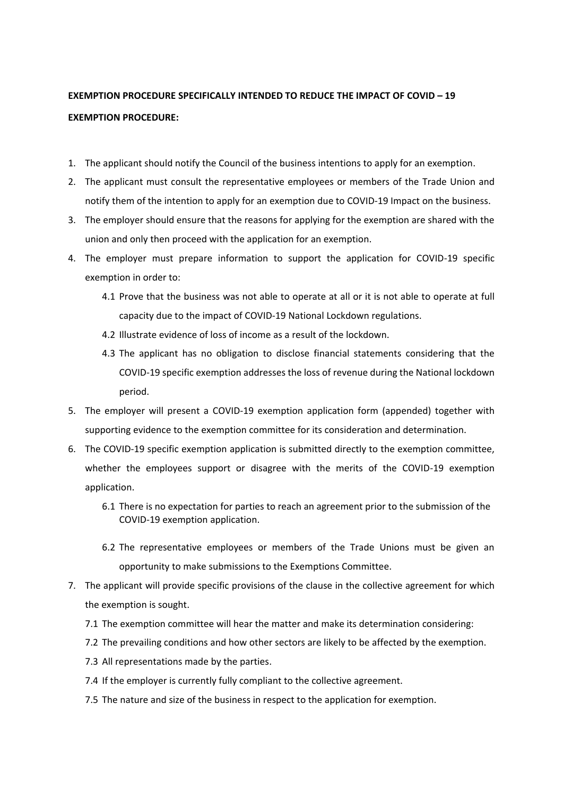## **EXEMPTION PROCEDURE SPECIFICALLY INTENDED TO REDUCE THE IMPACT OF COVID – 19 EXEMPTION PROCEDURE:**

- 1. The applicant should notify the Council of the business intentions to apply for an exemption.
- 2. The applicant must consult the representative employees or members of the Trade Union and notify them of the intention to apply for an exemption due to COVID-19 Impact on the business.
- 3. The employer should ensure that the reasons for applying for the exemption are shared with the union and only then proceed with the application for an exemption.
- 4. The employer must prepare information to support the application for COVID-19 specific exemption in order to:
	- 4.1 Prove that the business was not able to operate at all or it is not able to operate at full capacity due to the impact of COVID-19 National Lockdown regulations.
	- 4.2 Illustrate evidence of loss of income as a result of the lockdown.
	- 4.3 The applicant has no obligation to disclose financial statements considering that the COVID-19 specific exemption addresses the loss of revenue during the National lockdown period.
- 5. The employer will present a COVID-19 exemption application form (appended) together with supporting evidence to the exemption committee for its consideration and determination.
- 6. The COVID-19 specific exemption application is submitted directly to the exemption committee, whether the employees support or disagree with the merits of the COVID-19 exemption application.
	- 6.1 There is no expectation for parties to reach an agreement prior to the submission of the COVID-19 exemption application.
	- 6.2 The representative employees or members of the Trade Unions must be given an opportunity to make submissions to the Exemptions Committee.
- 7. The applicant will provide specific provisions of the clause in the collective agreement for which the exemption is sought.
	- 7.1 The exemption committee will hear the matter and make its determination considering:
	- 7.2 The prevailing conditions and how other sectors are likely to be affected by the exemption.
	- 7.3 All representations made by the parties.
	- 7.4 If the employer is currently fully compliant to the collective agreement.
	- 7.5 The nature and size of the business in respect to the application for exemption.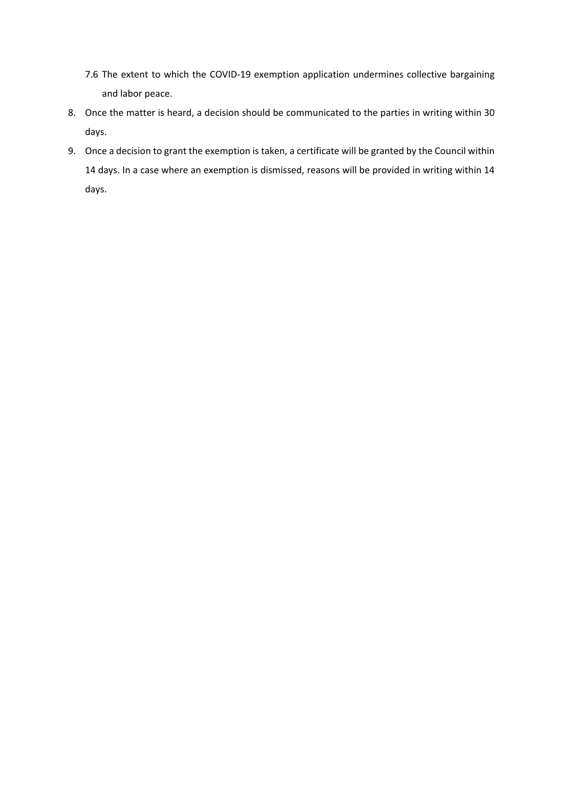- 7.6 The extent to which the COVID-19 exemption application undermines collective bargaining and labor peace.
- 8. Once the matter is heard, a decision should be communicated to the parties in writing within 30 days.
- 9. Once a decision to grant the exemption is taken, a certificate will be granted by the Council within 14 days. In a case where an exemption is dismissed, reasons will be provided in writing within 14 days.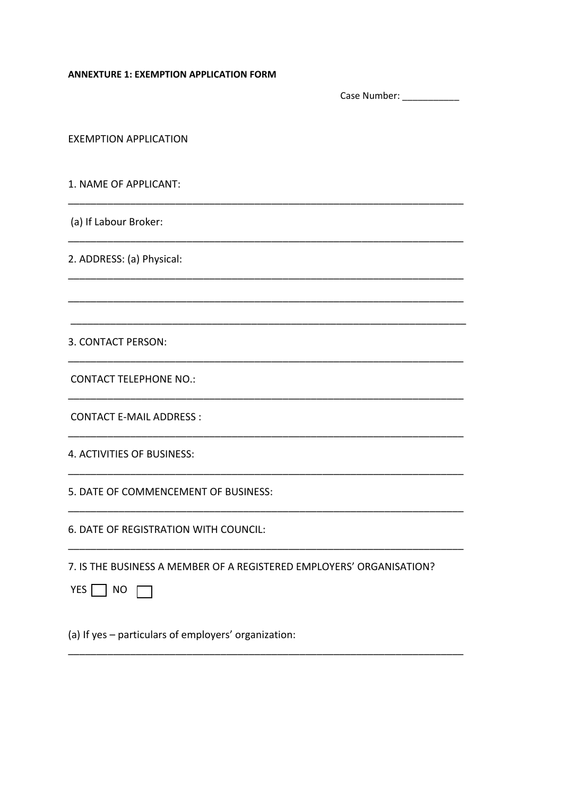## **ANNEXTURE 1: EXEMPTION APPLICATION FORM**

|                                                                                                 | Case Number: Name of Sea |
|-------------------------------------------------------------------------------------------------|--------------------------|
| <b>EXEMPTION APPLICATION</b>                                                                    |                          |
| 1. NAME OF APPLICANT:                                                                           |                          |
| (a) If Labour Broker:                                                                           |                          |
| 2. ADDRESS: (a) Physical:                                                                       |                          |
|                                                                                                 |                          |
| 3. CONTACT PERSON:                                                                              |                          |
| <b>CONTACT TELEPHONE NO.:</b>                                                                   |                          |
| <b>CONTACT E-MAIL ADDRESS:</b>                                                                  |                          |
| 4. ACTIVITIES OF BUSINESS:                                                                      |                          |
| 5. DATE OF COMMENCEMENT OF BUSINESS:                                                            |                          |
| 6. DATE OF REGISTRATION WITH COUNCIL:                                                           |                          |
| 7. IS THE BUSINESS A MEMBER OF A REGISTERED EMPLOYERS' ORGANISATION?<br>YES $\Box$<br><b>NO</b> |                          |
| (a) If yes - particulars of employers' organization:                                            |                          |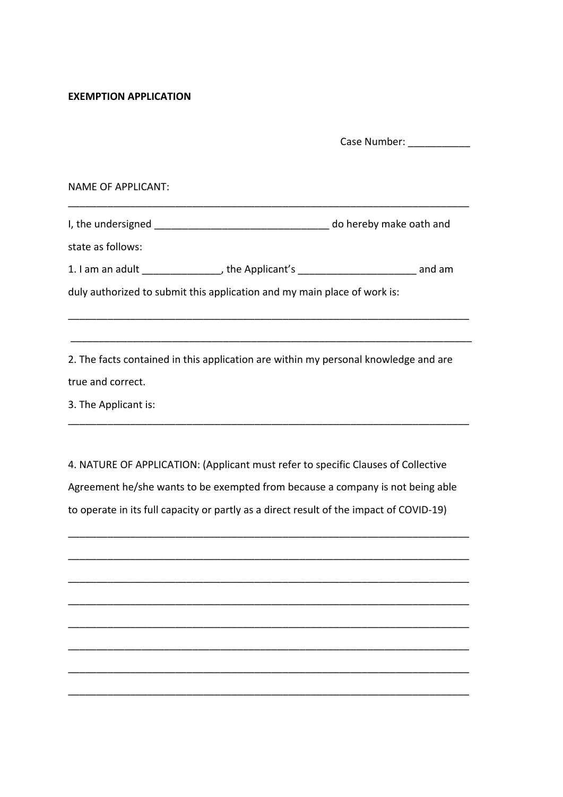## **EXEMPTION APPLICATION**

Case Number:

NAME OF APPLICANT:

I, the undersigned \_\_\_\_\_\_\_\_\_\_\_\_\_\_\_\_\_\_\_\_\_\_\_\_\_\_\_\_\_\_\_\_\_ do hereby make oath and

\_\_\_\_\_\_\_\_\_\_\_\_\_\_\_\_\_\_\_\_\_\_\_\_\_\_\_\_\_\_\_\_\_\_\_\_\_\_\_\_\_\_\_\_\_\_\_\_\_\_\_\_\_\_\_\_\_\_\_\_\_\_\_\_\_\_\_\_\_\_\_

state as follows:

1. I am an adult \_\_\_\_\_\_\_\_\_\_\_\_\_\_, the Applicant's \_\_\_\_\_\_\_\_\_\_\_\_\_\_\_\_\_\_\_\_\_ and am

\_\_\_\_\_\_\_\_\_\_\_\_\_\_\_\_\_\_\_\_\_\_\_\_\_\_\_\_\_\_\_\_\_\_\_\_\_\_\_\_\_\_\_\_\_\_\_\_\_\_\_\_\_\_\_\_\_\_\_\_\_\_\_\_\_\_\_\_\_\_\_

\_\_\_\_\_\_\_\_\_\_\_\_\_\_\_\_\_\_\_\_\_\_\_\_\_\_\_\_\_\_\_\_\_\_\_\_\_\_\_\_\_\_\_\_\_\_\_\_\_\_\_\_\_\_\_\_\_\_\_\_\_\_\_\_\_\_\_\_\_\_\_

duly authorized to submit this application and my main place of work is:

2. The facts contained in this application are within my personal knowledge and are true and correct.

\_\_\_\_\_\_\_\_\_\_\_\_\_\_\_\_\_\_\_\_\_\_\_\_\_\_\_\_\_\_\_\_\_\_\_\_\_\_\_\_\_\_\_\_\_\_\_\_\_\_\_\_\_\_\_\_\_\_\_\_\_\_\_\_\_\_\_\_\_\_\_

3. The Applicant is:

4. NATURE OF APPLICATION: (Applicant must refer to specific Clauses of Collective Agreement he/she wants to be exempted from because a company is not being able to operate in its full capacity or partly as a direct result of the impact of COVID-19)

\_\_\_\_\_\_\_\_\_\_\_\_\_\_\_\_\_\_\_\_\_\_\_\_\_\_\_\_\_\_\_\_\_\_\_\_\_\_\_\_\_\_\_\_\_\_\_\_\_\_\_\_\_\_\_\_\_\_\_\_\_\_\_\_\_\_\_\_\_\_\_

\_\_\_\_\_\_\_\_\_\_\_\_\_\_\_\_\_\_\_\_\_\_\_\_\_\_\_\_\_\_\_\_\_\_\_\_\_\_\_\_\_\_\_\_\_\_\_\_\_\_\_\_\_\_\_\_\_\_\_\_\_\_\_\_\_\_\_\_\_\_\_

\_\_\_\_\_\_\_\_\_\_\_\_\_\_\_\_\_\_\_\_\_\_\_\_\_\_\_\_\_\_\_\_\_\_\_\_\_\_\_\_\_\_\_\_\_\_\_\_\_\_\_\_\_\_\_\_\_\_\_\_\_\_\_\_\_\_\_\_\_\_\_

\_\_\_\_\_\_\_\_\_\_\_\_\_\_\_\_\_\_\_\_\_\_\_\_\_\_\_\_\_\_\_\_\_\_\_\_\_\_\_\_\_\_\_\_\_\_\_\_\_\_\_\_\_\_\_\_\_\_\_\_\_\_\_\_\_\_\_\_\_\_\_

\_\_\_\_\_\_\_\_\_\_\_\_\_\_\_\_\_\_\_\_\_\_\_\_\_\_\_\_\_\_\_\_\_\_\_\_\_\_\_\_\_\_\_\_\_\_\_\_\_\_\_\_\_\_\_\_\_\_\_\_\_\_\_\_\_\_\_\_\_\_\_

\_\_\_\_\_\_\_\_\_\_\_\_\_\_\_\_\_\_\_\_\_\_\_\_\_\_\_\_\_\_\_\_\_\_\_\_\_\_\_\_\_\_\_\_\_\_\_\_\_\_\_\_\_\_\_\_\_\_\_\_\_\_\_\_\_\_\_\_\_\_\_

\_\_\_\_\_\_\_\_\_\_\_\_\_\_\_\_\_\_\_\_\_\_\_\_\_\_\_\_\_\_\_\_\_\_\_\_\_\_\_\_\_\_\_\_\_\_\_\_\_\_\_\_\_\_\_\_\_\_\_\_\_\_\_\_\_\_\_\_\_\_\_

\_\_\_\_\_\_\_\_\_\_\_\_\_\_\_\_\_\_\_\_\_\_\_\_\_\_\_\_\_\_\_\_\_\_\_\_\_\_\_\_\_\_\_\_\_\_\_\_\_\_\_\_\_\_\_\_\_\_\_\_\_\_\_\_\_\_\_\_\_\_\_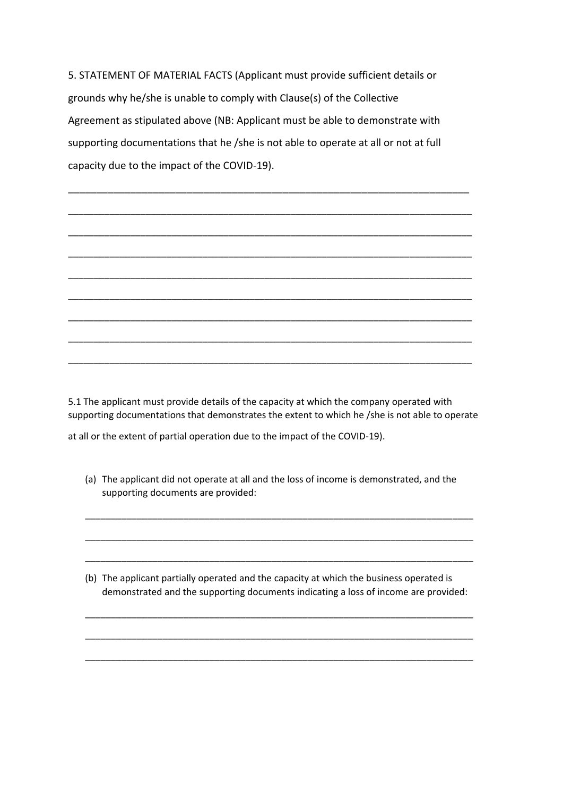5. STATEMENT OF MATERIAL FACTS (Applicant must provide sufficient details or grounds why he/she is unable to comply with Clause(s) of the Collective Agreement as stipulated above (NB: Applicant must be able to demonstrate with supporting documentations that he /she is not able to operate at all or not at full capacity due to the impact of the COVID-19).

\_\_\_\_\_\_\_\_\_\_\_\_\_\_\_\_\_\_\_\_\_\_\_\_\_\_\_\_\_\_\_\_\_\_\_\_\_\_\_\_\_\_\_\_\_\_\_\_\_\_\_\_\_\_\_\_\_\_\_\_\_\_\_\_\_\_\_\_\_\_\_

\_\_\_\_\_\_\_\_\_\_\_\_\_\_\_\_\_\_\_\_\_\_\_\_\_\_\_\_\_\_\_\_\_\_\_\_\_\_\_\_\_\_\_\_\_\_\_\_\_\_\_\_\_\_\_\_\_\_\_\_\_\_\_\_\_\_\_\_\_\_\_\_\_\_\_\_\_\_

\_\_\_\_\_\_\_\_\_\_\_\_\_\_\_\_\_\_\_\_\_\_\_\_\_\_\_\_\_\_\_\_\_\_\_\_\_\_\_\_\_\_\_\_\_\_\_\_\_\_\_\_\_\_\_\_\_\_\_\_\_\_\_\_\_\_\_\_\_\_\_\_\_\_\_\_\_\_

\_\_\_\_\_\_\_\_\_\_\_\_\_\_\_\_\_\_\_\_\_\_\_\_\_\_\_\_\_\_\_\_\_\_\_\_\_\_\_\_\_\_\_\_\_\_\_\_\_\_\_\_\_\_\_\_\_\_\_\_\_\_\_\_\_\_\_\_\_\_\_\_\_\_\_\_\_\_

\_\_\_\_\_\_\_\_\_\_\_\_\_\_\_\_\_\_\_\_\_\_\_\_\_\_\_\_\_\_\_\_\_\_\_\_\_\_\_\_\_\_\_\_\_\_\_\_\_\_\_\_\_\_\_\_\_\_\_\_\_\_\_\_\_\_\_\_\_\_\_\_\_\_\_\_\_\_

\_\_\_\_\_\_\_\_\_\_\_\_\_\_\_\_\_\_\_\_\_\_\_\_\_\_\_\_\_\_\_\_\_\_\_\_\_\_\_\_\_\_\_\_\_\_\_\_\_\_\_\_\_\_\_\_\_\_\_\_\_\_\_\_\_\_\_\_\_\_\_\_\_\_\_\_\_\_

\_\_\_\_\_\_\_\_\_\_\_\_\_\_\_\_\_\_\_\_\_\_\_\_\_\_\_\_\_\_\_\_\_\_\_\_\_\_\_\_\_\_\_\_\_\_\_\_\_\_\_\_\_\_\_\_\_\_\_\_\_\_\_\_\_\_\_\_\_\_\_\_\_\_\_\_\_\_

\_\_\_\_\_\_\_\_\_\_\_\_\_\_\_\_\_\_\_\_\_\_\_\_\_\_\_\_\_\_\_\_\_\_\_\_\_\_\_\_\_\_\_\_\_\_\_\_\_\_\_\_\_\_\_\_\_\_\_\_\_\_\_\_\_\_\_\_\_\_\_\_\_\_\_\_\_\_

\_\_\_\_\_\_\_\_\_\_\_\_\_\_\_\_\_\_\_\_\_\_\_\_\_\_\_\_\_\_\_\_\_\_\_\_\_\_\_\_\_\_\_\_\_\_\_\_\_\_\_\_\_\_\_\_\_\_\_\_\_\_\_\_\_\_\_\_\_\_\_\_\_\_\_\_\_\_

5.1 The applicant must provide details of the capacity at which the company operated with supporting documentations that demonstrates the extent to which he /she is not able to operate

at all or the extent of partial operation due to the impact of the COVID-19).

(a) The applicant did not operate at all and the loss of income is demonstrated, and the supporting documents are provided:

\_\_\_\_\_\_\_\_\_\_\_\_\_\_\_\_\_\_\_\_\_\_\_\_\_\_\_\_\_\_\_\_\_\_\_\_\_\_\_\_\_\_\_\_\_\_\_\_\_\_\_\_\_\_\_\_\_\_\_\_\_\_\_\_\_\_\_\_\_\_\_\_\_\_\_

\_\_\_\_\_\_\_\_\_\_\_\_\_\_\_\_\_\_\_\_\_\_\_\_\_\_\_\_\_\_\_\_\_\_\_\_\_\_\_\_\_\_\_\_\_\_\_\_\_\_\_\_\_\_\_\_\_\_\_\_\_\_\_\_\_\_\_\_\_\_\_\_\_\_\_

\_\_\_\_\_\_\_\_\_\_\_\_\_\_\_\_\_\_\_\_\_\_\_\_\_\_\_\_\_\_\_\_\_\_\_\_\_\_\_\_\_\_\_\_\_\_\_\_\_\_\_\_\_\_\_\_\_\_\_\_\_\_\_\_\_\_\_\_\_\_\_\_\_\_\_

(b) The applicant partially operated and the capacity at which the business operated is demonstrated and the supporting documents indicating a loss of income are provided:

\_\_\_\_\_\_\_\_\_\_\_\_\_\_\_\_\_\_\_\_\_\_\_\_\_\_\_\_\_\_\_\_\_\_\_\_\_\_\_\_\_\_\_\_\_\_\_\_\_\_\_\_\_\_\_\_\_\_\_\_\_\_\_\_\_\_\_\_\_\_\_\_\_\_\_

\_\_\_\_\_\_\_\_\_\_\_\_\_\_\_\_\_\_\_\_\_\_\_\_\_\_\_\_\_\_\_\_\_\_\_\_\_\_\_\_\_\_\_\_\_\_\_\_\_\_\_\_\_\_\_\_\_\_\_\_\_\_\_\_\_\_\_\_\_\_\_\_\_\_\_

\_\_\_\_\_\_\_\_\_\_\_\_\_\_\_\_\_\_\_\_\_\_\_\_\_\_\_\_\_\_\_\_\_\_\_\_\_\_\_\_\_\_\_\_\_\_\_\_\_\_\_\_\_\_\_\_\_\_\_\_\_\_\_\_\_\_\_\_\_\_\_\_\_\_\_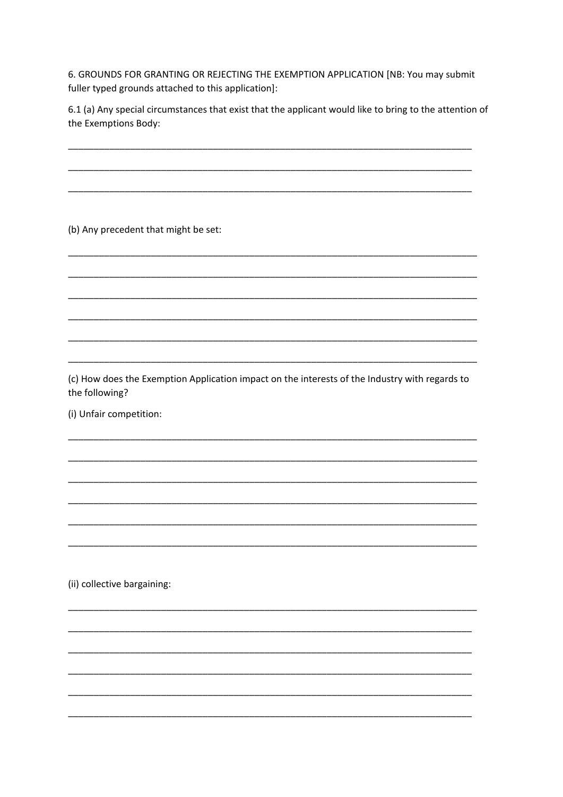6. GROUNDS FOR GRANTING OR REJECTING THE EXEMPTION APPLICATION [NB: You may submit fuller typed grounds attached to this application]:

6.1 (a) Any special circumstances that exist that the applicant would like to bring to the attention of the Exemptions Body:

(b) Any precedent that might be set:

(c) How does the Exemption Application impact on the interests of the Industry with regards to the following?

(i) Unfair competition:

(ii) collective bargaining: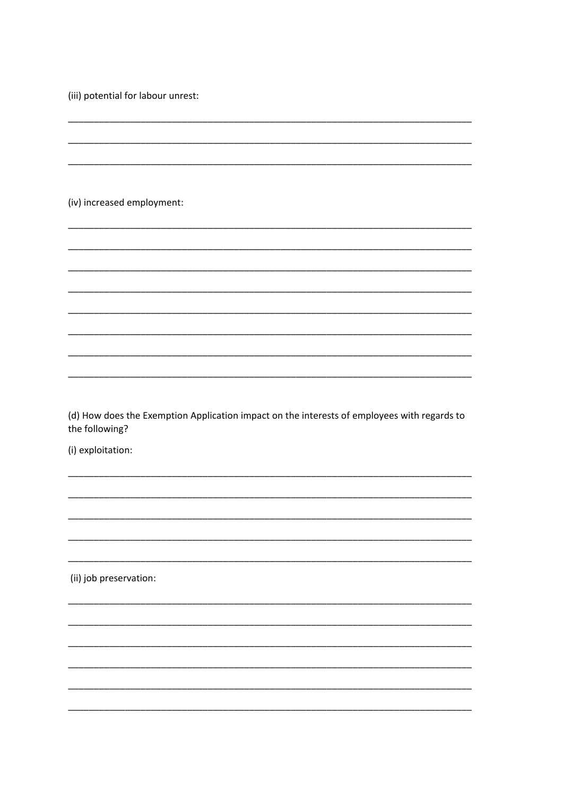(iii) potential for labour unrest:

(iv) increased employment:

(d) How does the Exemption Application impact on the interests of employees with regards to the following?

(i) exploitation:

(ii) job preservation: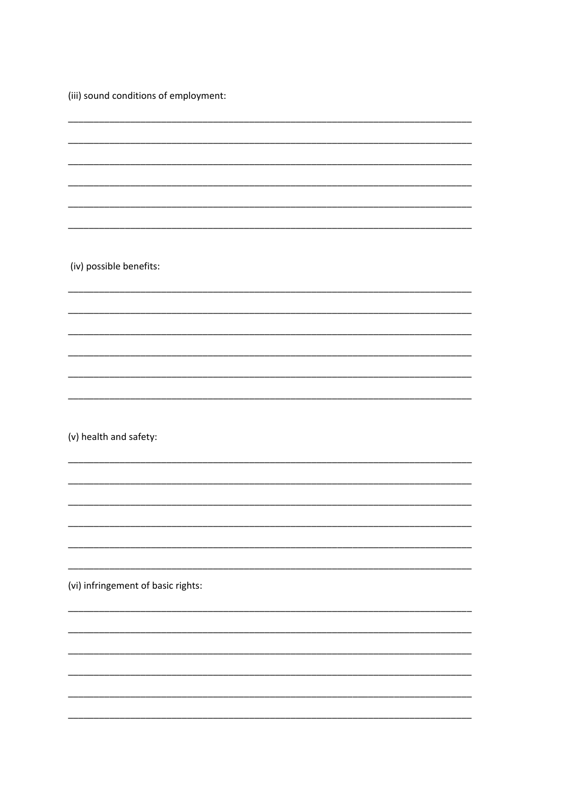(iii) sound conditions of employment:

(iv) possible benefits:

(v) health and safety:

(vi) infringement of basic rights: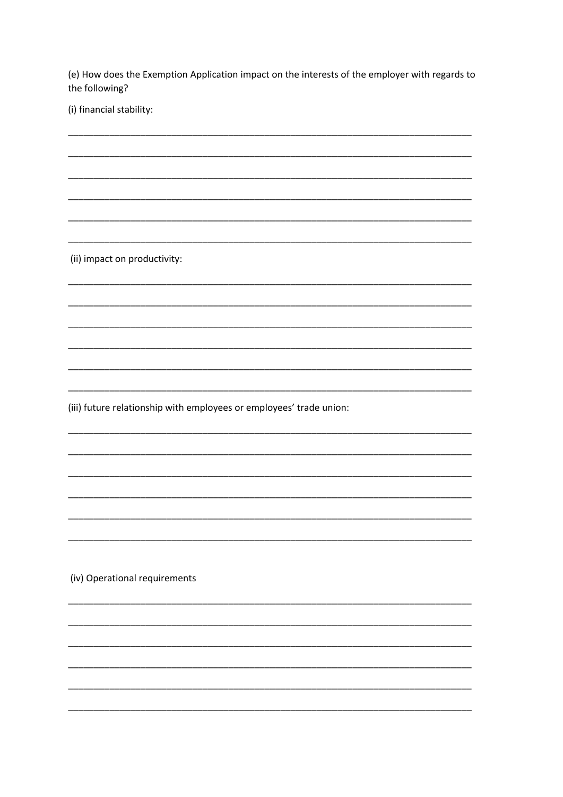(e) How does the Exemption Application impact on the interests of the employer with regards to the following?

(i) financial stability:

(ii) impact on productivity:

(iii) future relationship with employees or employees' trade union:

(iv) Operational requirements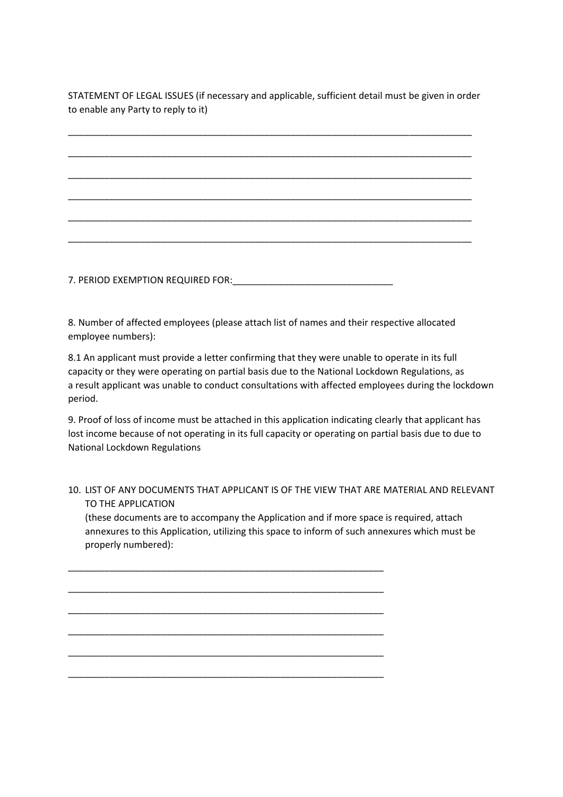STATEMENT OF LEGAL ISSUES (if necessary and applicable, sufficient detail must be given in order to enable any Party to reply to it)

\_\_\_\_\_\_\_\_\_\_\_\_\_\_\_\_\_\_\_\_\_\_\_\_\_\_\_\_\_\_\_\_\_\_\_\_\_\_\_\_\_\_\_\_\_\_\_\_\_\_\_\_\_\_\_\_\_\_\_\_\_\_\_\_\_\_\_\_\_\_\_\_\_\_\_\_\_\_ \_\_\_\_\_\_\_\_\_\_\_\_\_\_\_\_\_\_\_\_\_\_\_\_\_\_\_\_\_\_\_\_\_\_\_\_\_\_\_\_\_\_\_\_\_\_\_\_\_\_\_\_\_\_\_\_\_\_\_\_\_\_\_\_\_\_\_\_\_\_\_\_\_\_\_\_\_\_ \_\_\_\_\_\_\_\_\_\_\_\_\_\_\_\_\_\_\_\_\_\_\_\_\_\_\_\_\_\_\_\_\_\_\_\_\_\_\_\_\_\_\_\_\_\_\_\_\_\_\_\_\_\_\_\_\_\_\_\_\_\_\_\_\_\_\_\_\_\_\_\_\_\_\_\_\_\_ \_\_\_\_\_\_\_\_\_\_\_\_\_\_\_\_\_\_\_\_\_\_\_\_\_\_\_\_\_\_\_\_\_\_\_\_\_\_\_\_\_\_\_\_\_\_\_\_\_\_\_\_\_\_\_\_\_\_\_\_\_\_\_\_\_\_\_\_\_\_\_\_\_\_\_\_\_\_ \_\_\_\_\_\_\_\_\_\_\_\_\_\_\_\_\_\_\_\_\_\_\_\_\_\_\_\_\_\_\_\_\_\_\_\_\_\_\_\_\_\_\_\_\_\_\_\_\_\_\_\_\_\_\_\_\_\_\_\_\_\_\_\_\_\_\_\_\_\_\_\_\_\_\_\_\_\_ \_\_\_\_\_\_\_\_\_\_\_\_\_\_\_\_\_\_\_\_\_\_\_\_\_\_\_\_\_\_\_\_\_\_\_\_\_\_\_\_\_\_\_\_\_\_\_\_\_\_\_\_\_\_\_\_\_\_\_\_\_\_\_\_\_\_\_\_\_\_\_\_\_\_\_\_\_\_

7. PERIOD EXEMPTION REQUIRED FOR:\_\_\_\_\_\_\_\_\_\_\_\_\_\_\_\_\_\_\_\_\_\_\_\_\_\_\_\_\_\_\_

8. Number of affected employees (please attach list of names and their respective allocated employee numbers):

8.1 An applicant must provide a letter confirming that they were unable to operate in its full capacity or they were operating on partial basis due to the National Lockdown Regulations, as a result applicant was unable to conduct consultations with affected employees during the lockdown period.

9. Proof of loss of income must be attached in this application indicating clearly that applicant has lost income because of not operating in its full capacity or operating on partial basis due to due to National Lockdown Regulations

## 10. LIST OF ANY DOCUMENTS THAT APPLICANT IS OF THE VIEW THAT ARE MATERIAL AND RELEVANT TO THE APPLICATION

(these documents are to accompany the Application and if more space is required, attach annexures to this Application, utilizing this space to inform of such annexures which must be properly numbered):

\_\_\_\_\_\_\_\_\_\_\_\_\_\_\_\_\_\_\_\_\_\_\_\_\_\_\_\_\_\_\_\_\_\_\_\_\_\_\_\_\_\_\_\_\_\_\_\_\_\_\_\_\_\_\_\_\_\_\_\_\_

\_\_\_\_\_\_\_\_\_\_\_\_\_\_\_\_\_\_\_\_\_\_\_\_\_\_\_\_\_\_\_\_\_\_\_\_\_\_\_\_\_\_\_\_\_\_\_\_\_\_\_\_\_\_\_\_\_\_\_\_\_

\_\_\_\_\_\_\_\_\_\_\_\_\_\_\_\_\_\_\_\_\_\_\_\_\_\_\_\_\_\_\_\_\_\_\_\_\_\_\_\_\_\_\_\_\_\_\_\_\_\_\_\_\_\_\_\_\_\_\_\_\_

\_\_\_\_\_\_\_\_\_\_\_\_\_\_\_\_\_\_\_\_\_\_\_\_\_\_\_\_\_\_\_\_\_\_\_\_\_\_\_\_\_\_\_\_\_\_\_\_\_\_\_\_\_\_\_\_\_\_\_\_\_

\_\_\_\_\_\_\_\_\_\_\_\_\_\_\_\_\_\_\_\_\_\_\_\_\_\_\_\_\_\_\_\_\_\_\_\_\_\_\_\_\_\_\_\_\_\_\_\_\_\_\_\_\_\_\_\_\_\_\_\_\_

\_\_\_\_\_\_\_\_\_\_\_\_\_\_\_\_\_\_\_\_\_\_\_\_\_\_\_\_\_\_\_\_\_\_\_\_\_\_\_\_\_\_\_\_\_\_\_\_\_\_\_\_\_\_\_\_\_\_\_\_\_